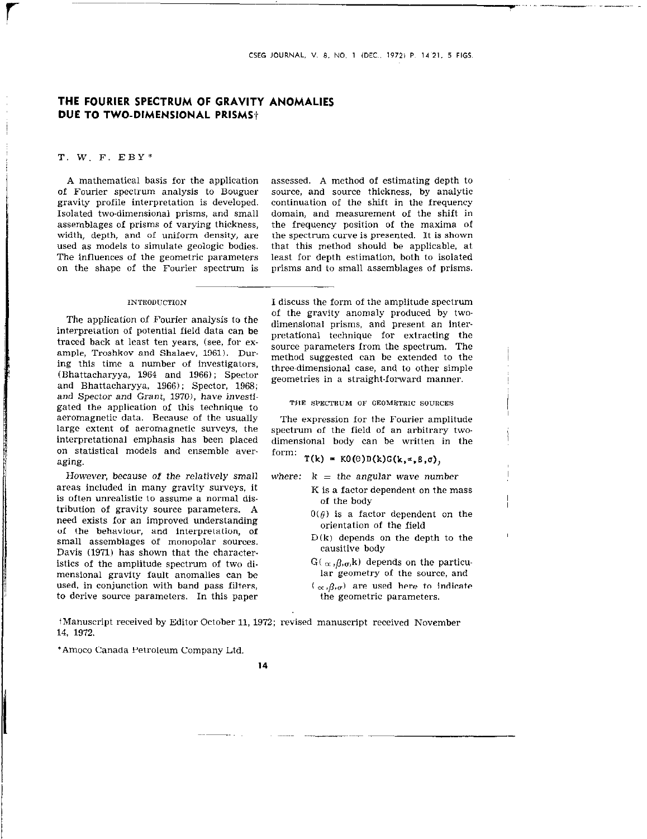# THE FOURIER SPECTRUM OF GRAVITY ANOMALIES DUE TO TWO-DIMENSIONAL PRISMS+

### T. w. F. EBY"

A mathematical basis for the application of Fourier spectrum analysis to Bouguer gravity profile interpretation is developed. Isolated two-dimensional prisms, and small assemblages of prisms of varying thickness, width, depth, and of uniform density, are used as models to simulate geologic bodies. The influences of the geometric parameters on the shape of the Fourier spectrum is

assessed. A method of estimating depth to sowce, and source thickness, by analytic continuation of the shift in the frequency domain, and measurement of the shift in the frequency position of the maxima of the spectrum curve is presented. It is shown that this method should be applicable, at least for depth estimation, both to isolated prisms and to small assemblages of prisms.

#### INTRODUCTION

The application of Fourier analysis to the interpretation of potential field data can be traced back at least ten years, (see, for example, Troshkov and Shalaev, 1961). During this time a number of investigators, (Bhattacharyya, 1964 and 1966) ; Spector and Bhattacharyya, 1966); Spector, 1968; and Spector and Grant, 1970), have investigated the application of this technique to aeromagnetic data. Because of the usually large extent of aeromagnetic surveys, the interpretational emphasis has been placed on statistical models and ensemble averaging.

However, because of the relatively small areas included in many gravity surveys, it is often unrealistic lo assume a normal distribution of gravity source parameters. A need exists for an improved understanding of the behaviour, and interpretation, of small assemblages of monopolar sources. Davis (1971) has shown that the character. istics of the amplitude spectrum of two dimensional gravity fault anomalies can be used, in conjunction with band pass filters, to derive source parameters. In this paper

I discuss the form of the amplitude spectrum of the gravity anomaly produced by twodimensional prisms, and present an interpretational technique for extracting the source parameters from the spectrum. The method suggested can be extended to the three-dimensional case, and to other simple geometries in a straight-forward manner.

THE SPECTRUM OF GEOMETRIC SOURCES

The expression for the Fourier amplitude spectrum of the field of an arbitrary twodimensional body can be written in the form:

 $T(k) = KO(\Theta)D(k)G(k,*,\beta,\sigma),$ 

where:  $k = the angular wave number$ 

- K is a factor dependent on the mass of the body
- $0(\theta)$  is a factor dependent on the orientation of the field
- $D(k)$  depends on the depth to the causitive body
- $G(\alpha,\beta,\sigma,k)$  depends on the particular geometry of the source, and
- $(\alpha, \beta, \sigma)$  are used here to indicate the geometric parameters.

iManuscript received by Editor October 11, 1972; revised manuscript received November 14. 1972.

\*Amoco Canada Petroleum Company Ltd.

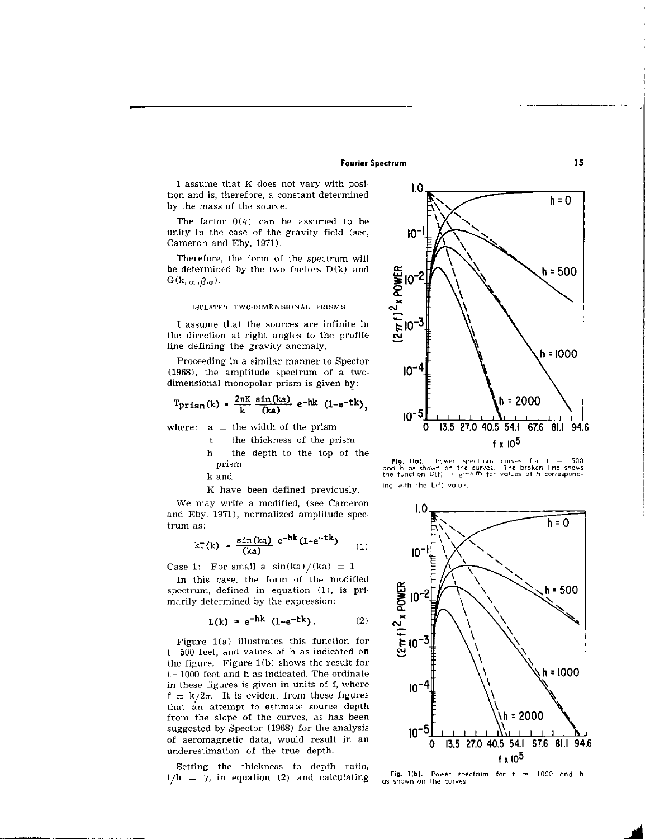## Fourier Spectrum 15

I assume that K does not vary with position and is, therefore, a constant determined by the mass of the source.

The factor  $0(\theta)$  can be assumed to be unity in the case of the gravity field (see, Cameron and Eby, 1971).

Therefore, the form of the spectrum will be determined by the two factors  $D(k)$  and  $G(k, \alpha, \beta, \sigma)$ .

### ISOLATED TWO-DIMENSIONAL PRISMS

I assume that the sources are infinite in the direction at right angles to the profile line defining the gravity anomaly.

Proceeding in a similar manner to Spector (1968). the amplitude spectrum of a twodimensional monopolar prism is given by:

$$
T_{\text{prism}}(k) = \frac{2\pi K}{k} \frac{\sin(ka)}{(ka)} e^{-hk} (1-e^{-tk}),
$$

where:  $a =$  the width of the prism

- $t =$  the thickness of the prism  $h =$  the depth to the top of the
- prism

k and

K have been defined previously.

We may write a modified, (see Cameron and Eby, 1971), normalized amplitude spectrum as:

$$
kT(k) = \frac{\sin(ka)}{(ka)} e^{-hk} (1 - e^{-tk})
$$
 (1)

Case 1: For small a,  $sin(ka)/(ka) = 1$ 

In this case, the form of the modified spectrum, defined in equation  $(1)$ , is primarily determined by the expression:

$$
L(k) = e^{-hk} (1 - e^{-tk}). \qquad (2)
$$

Figure  $1(a)$  illustrates this function for  $t=500$  feet, and values of h as indicated on the figure. Figure  $1(b)$  shows the result for  $t-1000$  feet and h as indicated. The ordinate in these figures is given in units of f, where  $f = k/2\pi$ . It is evident from these figures that an attempt to estimate source depth from the slope of the curves, as has been suggested by Spector (1968) for the analysis of aeromagnetic data, would result in an

Setting the thickness to depth ratio,  $t/h = \gamma$ , in equation (2) and calculating s shown on the curves.



**Fig. 1(a).** Power spectrum curves for  $t = 500$  and h as shown on the curves. The broken line shows the function  $D(f) = e^{-4\pi f\hbar}$  for values of h corresponding with the L(f) values.

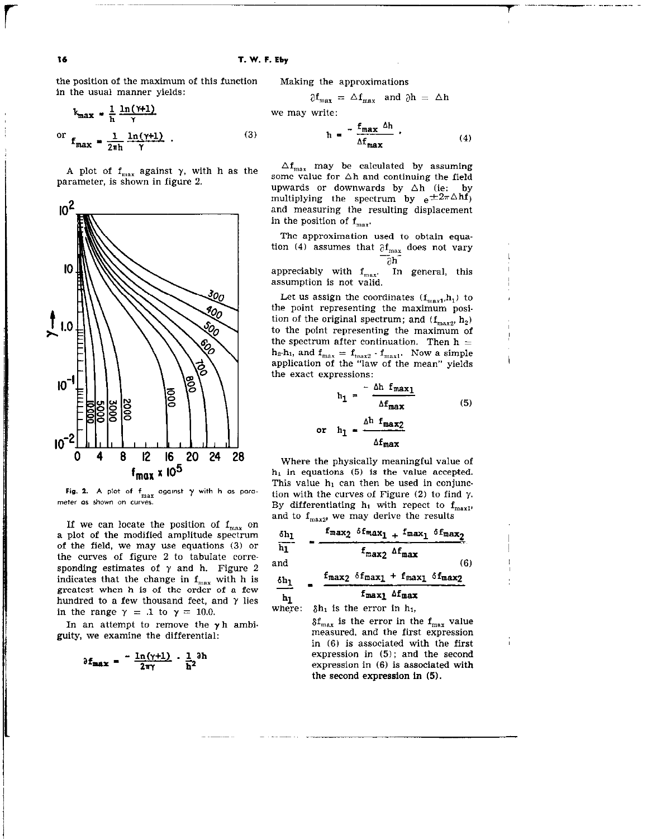$(3)$ 

the position of the maximum of this function in the usual manner yields:

$$
k_{\text{max}} = \frac{1}{h} \frac{\ln(\gamma + 1)}{\gamma}
$$
  
or 
$$
f_{\text{max}} = \frac{1}{2\pi h} \frac{\ln(\gamma + 1)}{\gamma}
$$
.

A plot of  $f_{max}$  against  $\gamma$ , with h as the parameter, is shown in figure 2.



Fig. 2. A plot of  $f_{\text{max}}$  against  $\gamma$  with h as parameter as shown on curves

If we can locate the position of  $f_{\text{max}}$  on a plot of the modified amplitude spectrum of the field, we may use equations  $(3)$  or the curves of figure 2 to tabulate corresponding estimates of  $\gamma$  and h. Figure 2 indicates that the change in  $f_{\text{max}}$  with h is greatest when h is of the order of a few hundred to a few thousand feet, and  $\gamma$  lies in the range  $\gamma = .1$  to  $\gamma = 10.0$ .

In an attempt to remove the  $\gamma$ h ambiguity, we examine the differential:

$$
\partial f_{\text{max}} = \frac{-\ln(\gamma + 1)}{2\pi\gamma} \cdot \frac{1}{h^2} \partial h
$$

Making the approximations

$$
\partial f_{\text{max}} = \Delta f_{\text{max}} \text{ and } \partial h = \Delta h
$$
  
we may write:

$$
h = \frac{f_{\text{max}} \Delta h}{\Delta f_{\text{max}}} \tag{4}
$$

 $\Delta f_{\text{max}}$  may be calculated by assuming some value for  $\Delta h$  and continuing the field upwards or downwards by  $\Delta h$  (ie: by multiplying the spectrum by  $e^{\pm 2\pi \Delta h f}$ ) and measuring the resulting displacement in the position of  $f_{max}$ .

The approximation used to obtain equation (4) assumes that  $\partial \mathbf{f}_{\text{max}}$  does not vary  $\overline{\partial} h$ 

appreciably with  $f_{max}$ . In general, this assumption is not valid.

Let us assign the coordinates  $(f_{max1}, h_1)$  to the point representing the maximum posltion of the original spectrum; and  $(f_{max2}, h_2)$ to the point representing the maximum of the spectrum after continuation. Then  $h =$  $h_2-h_1$ , and  $f_{max} = f_{max} \cdot f_{max}$ . Now a simple application of the "law of the mean" yields the exact expressions:

$$
h_1 = \frac{-\Delta h f_{max1}}{\Delta f_{max}}
$$
 (5)  
or 
$$
h_1 = \frac{\Delta h f_{max2}}{\Delta f_{max}}
$$

Where the physically meaningful value of  $h_1$  in equations (5) is the value accepted. This value  $h_1$  can then be used in conjunction with the curves of Figure  $(2)$  to find  $\gamma$ . By differentiating  $h_1$  with repect to  $f_{max1}$ , and to  $\mathbf{f}_{\mathrm{max2}}$  we may derive the results

$$
\frac{\delta h_1}{h_1} = \frac{f_{max_2} \delta f_{max_1} + f_{max_1} \delta f_{max_2}}{f_{max_2} \delta f_{max}}
$$
\nand\n
$$
\frac{\delta h_1}{h_1} = \frac{f_{max_2} \delta f_{max_1} + f_{max_1} \delta f_{max_2}}{f_{max_1} \delta f_{max_2}}
$$

where:  $\delta h_1$  is the error in  $h_1$ ,

 $\delta f_{\text{max}}$  is the error in the  $f_{\text{max}}$  value measured. and the first expression in (6) is associated with the first expression in (5); and the second expression in (6) is associated with the second expression in (5).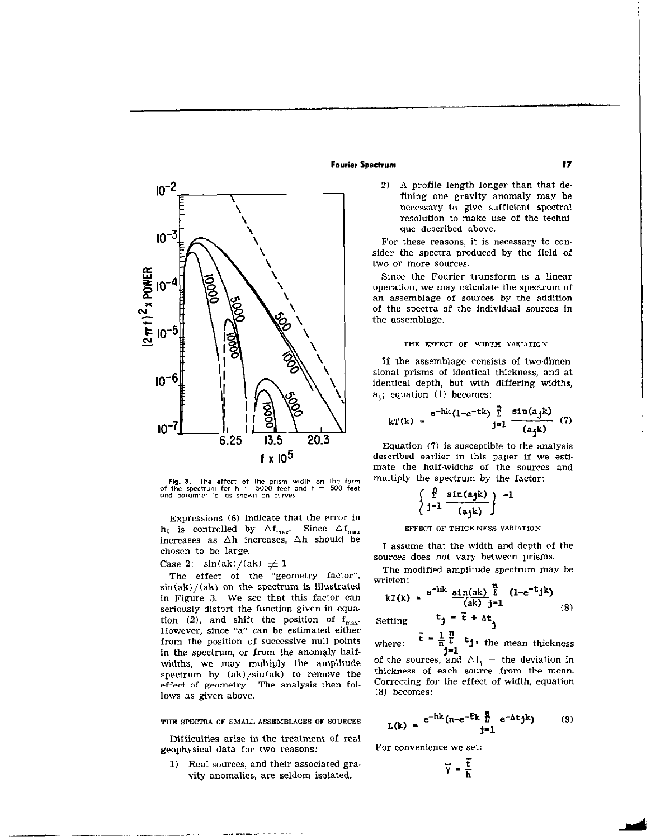

Fig. 3. The effect of the prism width on the form<br>of the spectrum for h == 5000 feet and t == 500 feet<br>and paramter 'a' as shown on curves.

Expressions (6) indicate that the error in h<sub>t</sub> is controlled by  $\Delta f_{\rm max}$ . Since  $\Delta f_{\rm max}$ increases as  $\Delta h$  increases,  $\Delta h$  should be chosen to be large.

## Case 2:  $\sin(ak)/(ak) \neq 1$

The effect of the "geometry factor",  $sin(ak)/(ak)$  on the spectrum is illustrated in Figure 3. We see that this factor can seriously distort the function given in equa. tion (2), and shift the position of  $f_{max}$ . However, since "a" can be estimated either from the position of successive null points in the spectrum, or from the anomaly halfwidths, we may multiply the amplitude spectrum by  $(ak)/sin(ak)$  to remove the effect of geometry. The analysis then follows as given above.

THE SPECTRA OF SMALL ASSEMBLAGES OF SOURCES

Difficulties arise in the treatment of real geophysical data for two reasons:

1) Real sources, and their associated gra. vity anomalies, are seldom isolated.

## Fourier Spectrum 17

2) A profile length longer than that defining one gravity anomaly may be necessary to give sufficient spectral resolution to make use of the technique described above.

For these reasons, it is necessary to consider the spectra produced by the field of two or more sources.

Since the Fourier transform is a linear operation, we may calculate the spectrum of an assemblage of sources by the addition of the spectra of the individual sources in the assemblage.

### THE EFFECT OF WIDTH VARIATION

If the assemblage consists of two-dimensional prisms of identical thickness, and at identical depth, but with differing widths, a<sub>i</sub>; equation (1) becomes:

$$
kT(k) = \frac{e^{-hk}(1-e^{-tk})\sum_{j=1}^{n} \frac{\sin(ayk)}{(a_{j}k)}}{(1)}
$$
 (7)

Equation (7) is susceptible to the analysis described earlier in this paper if we estimate the half-widths of the sources and multiply the spectrum by the factor:

$$
\left\{\begin{array}{c}\n\frac{p}{2} \sin(ajk) \\
j=1 \frac{\sin(ajk)}{(ajk)}\n\end{array}\right\} - 1
$$

#### EFFECT OF THICKNESS VARIATION

I assume that the width and depth of the sources does not vary between prisms.

The modified amplitude spectrum may be written:

$$
kT(k) = e^{-hk} \frac{\sin(ak)}{(ak)} \frac{r}{j-1} (1 - e^{-t} jk) \tag{8}
$$

Setting  $t_j = \bar{t} + \Delta t_j$ where:  $\vec{t} = \frac{1}{n} \sum_{i=1}^{n} t_j$ , the mean thickness J-1 of the sources, and  $\Delta t_i$  = the deviation in thickness of each source from the mean. Correcting for the effect of width, equation (8) becomes:

$$
L(k) = e^{-hk} (n - e^{-\bar{t}k} \frac{\bar{R}}{2} e^{-\Delta t} j k)
$$
 (9)

For convenience we set:

$$
\overline{\gamma} = \frac{\overline{t}}{h}
$$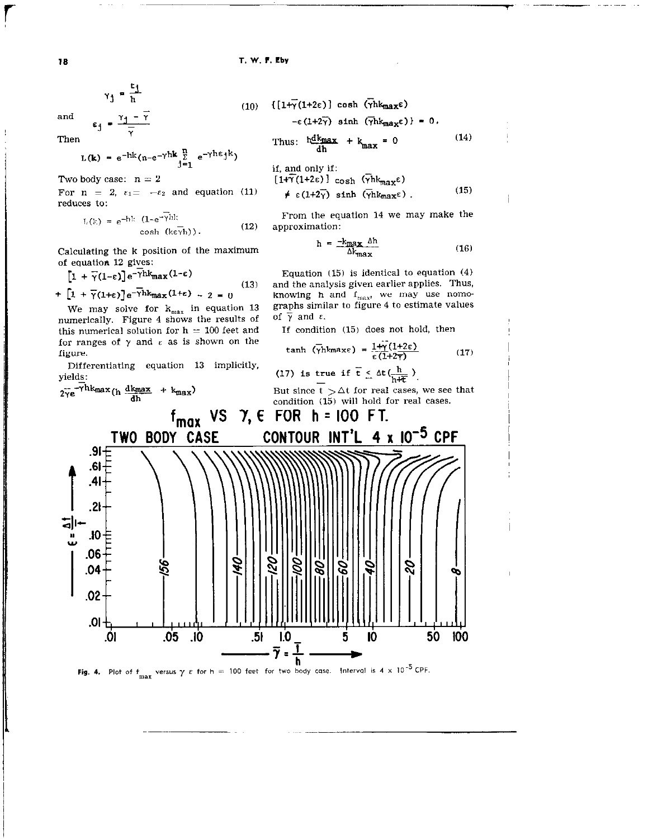18 T. W. F. Eby

 $y_1 = \frac{t_1}{h}$ 

Then 
$$
\gamma
$$

$$
L(k) = e^{-hk}(n-e^{-\gamma hk}\sum_{j=1}^{n} e^{-\gamma h \epsilon_j k})
$$

Two body case:  $n = 2$  [

reduces to:

$$
L(k) = e^{-hk} (1 - e^{-\gamma bh} \cosh(k \epsilon \overline{\gamma} h)).
$$
 (12)

Calculating the k position of the maximum of equation 12 gives:

$$
[1 + \overline{\gamma}(1-\epsilon)]e^{-\gamma h k_{\text{max}}(1-\epsilon)}
$$
  
+ 
$$
[1 + \overline{\gamma}(1+\epsilon)]e^{-\gamma h k_{\text{max}}(1+\epsilon)} - 2 = 0
$$
 (1

We may solve for  $k_{max}$  in equation 13 graphs similar to figure 4 shows the results of  $\overline{y}$  and  $\epsilon$ . numerically. Figure 4 shows the results of of  $\gamma$  and  $\varepsilon$ .<br>this numerical solution for  $h = 100$  feet and If condition (15) does not hold, then this numerical solution for  $h = 100$  feet and for ranges of  $\gamma$  and  $\varepsilon$  as is shown on the figure. tanh (yhkmaxe) =  $\frac{171}{5}(1)$ 

Differentiating equation 13 implicitly,

yields:  
\n
$$
2\overline{Y}e^{-Y/\hbar k_{max}}(h \frac{dk_{max}}{dh} + k_{max})
$$
  
\n $2\overline{Y}e^{-Y/\hbar k_{max}}(h \frac{dk_{max}}{dh} + k_{max})$   
\n $2\overline{Y}e^{-Y/\hbar k_{max}}(h \frac{dk_{max}}{dh} + k_{max})$   
\n $2\overline{Y}e^{-Y/\hbar k_{max}}(h \frac{dk_{max}}{dh} + k_{max})$   
\n $2\overline{Y}e^{-Y/\hbar k_{max}}(h \frac{dk_{max}}{dh} + k_{max})$   
\n $2\overline{Y}e^{-Y/\hbar k_{max}}(h \frac{dk_{max}}{dh} + k_{max})$   
\n $2\overline{Y}e^{-Y/\hbar k_{max}}(h \frac{dk_{max}}{dh} + k_{max})$   
\n $2\overline{Y}e^{-Y/\hbar k_{max}}(h \frac{dk_{max}}{dh} + k_{max})$   
\n $2\overline{Y}e^{-Y/\hbar k_{max}}(h \frac{dk_{max}}{dh} + k_{max})$   
\n $2\overline{Y}e^{-Y/\hbar k_{max}}(h \frac{dk_{max}}{dh} + k_{max})$   
\n $2\overline{Y}e^{-Y/\hbar k_{max}}(h \frac{dk_{max}}{dh} + k_{max})$   
\n $2\overline{Y}e^{-Y/\hbar k_{max}}(h \frac{dk_{max}}{dh} + k_{max})$   
\n $2\overline{Y}e^{-Y/\hbar k_{max}}(h \frac{dk_{max}}{dh} + k_{max})$   
\n $2\overline{Y}e^{-Y/\hbar k_{max}}(h \frac{dk_{max}}{dh} + k_{max})$   
\n $2\overline{Y}e^{-Y/\hbar k_{max}}(h \frac{dk_{max}}{dh} + k_{max})$   
\n $2\overline{Y}e^{-Y/\hbar k_{max}}(h \frac{dk_{max}}{dh} + k_{max})$   
\n $2\overline{Y}e^{-Y/\hbar k_{max}}(h \frac{dk_{max}}{dh} + k_{max})$   
\n $2\overline{Y}e^{-Y/\hbar k_{max}}(h \frac{dk_{max$ 

**Fig. 4.** Plot of  $f_{\text{max}}$  versus  $\gamma$   $\varepsilon$  for  $h = 100$  feet for two body case. Interval is 4  $\times$  10<sup>-5</sup> CPF.

 $\overline{\mathbf{h}}$ 

and  
\n
$$
\epsilon_{j} = \frac{\gamma_{j} - \overline{\gamma}}{\overline{\gamma}}
$$
\n(10)  $\{[1+\gamma(1+2\epsilon)] \cosh(\gamma)k_{max}\epsilon) \}$  = 0.  
\nThen  
\n
$$
\epsilon_{j} = \frac{\gamma_{j} - \overline{\gamma}}{\overline{\gamma}}
$$
\n(11)  $\{[1+\gamma(1+2\epsilon)] \cosh(\gamma)k_{max}\epsilon) \} = 0.$ \n(14)

Two body case: 
$$
n = 2
$$
  
\nFor  $n = 2$ ,  $\epsilon_1 = -\epsilon_2$  and equation (11)  $\neq \epsilon(1+2\epsilon)$  sinh  $(\overline{\gamma} h k_{max} \epsilon)$  (15)

From the equation 14 we may make the approximation:

$$
h = \frac{-k_{\text{max}} \Delta h}{\Delta k_{\text{max}}} \tag{16}
$$

 $\overline{1}$ 

Equation  $(15)$  is identical to equation  $(4)$ (131 and the analysis given earlier applies. Thus, knowing h and  $f_{\text{max}}$ , we may use nomo-<br>graphs similar to figure 4 to estimate values

$$
\tanh\left(\overline{\gamma}\mathrm{hkmaxe}\right) = \frac{1+\hat{\gamma}(1+2\epsilon)}{\epsilon(1+2\tau)}\tag{17}
$$

(17) is true if 
$$
\overline{t} \leq \Delta t \left( \frac{h}{h \Delta t} \right)
$$
.

But since t  $>\Delta$ t for real cases, we see that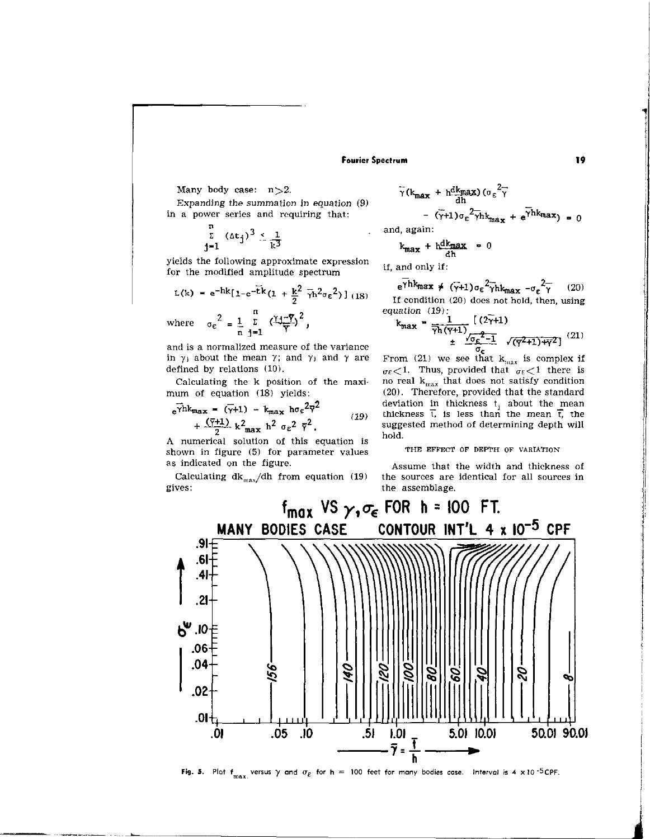## Fourier Spectrum 19

Many body case:  $n > 2$ .

Expanding the summation in equation (9) in a power series and requiring that:

$$
\sum_{j=1}^n (\Delta t_j)^3 \leq \frac{1}{k^3}
$$

yields the following approximate expression yields the following approximate expression<br>for the modified amplitude spectrum if, and only if:

$$
L(k) = e^{-hk} [1 - e^{-t}k(1 + \frac{k^2}{2} \bar{\gamma}h^2 \sigma_E^2)]
$$
 (18)  
where 
$$
\sigma_E^2 = \frac{1}{n} \sum_{j=1}^n \left(\frac{1 + \bar{\gamma}}{\bar{\gamma}}\right)^2,
$$

and is a normalized measure of the variance in  $\gamma_j$  about the mean  $\gamma$ ; and  $\gamma_j$  and  $\gamma$  are defined by relations (10).

Calculating the k position of the maxi. mum of equation (18) yields:

$$
\mathbf{e}^{\gamma h k_{\text{max}}} = (\gamma + 1) - k_{\text{max}} \ln \sigma \epsilon^2 \overline{\gamma}^2 + \frac{(\gamma + 1)}{2} k^2_{\text{max}} \overline{\gamma}^2 \sigma \epsilon^2 \overline{\gamma}^2.
$$
 (19)

A numerical solution of this equation is shown in figure (5) for parameter values as indicated on the figure.

Calculating  $dk_{max}/dh$  from equation (19) gives:

$$
\bar{\gamma}(k_{\text{max}} + h \frac{dk_{\text{max}}}{dh}) (\sigma_{\varepsilon}^{2} \bar{\gamma})
$$
  
- (\bar{\gamma}+1) \sigma\_{\varepsilon}^{2} \bar{\gamma} h k\_{\text{max}} + e^{\bar{\gamma} h k\_{\text{max}}}) = 0

and, ag

$$
k_{\text{max}} + h_{\text{dh}}^{\text{dk}_{\text{max}}} = 0
$$

 $e^{\overline{\gamma}hk_{max}} \neq (\overline{\gamma}+1)\sigma_{\varepsilon}^{2}\overline{\gamma}hk_{max} - \sigma_{\varepsilon}^{2}\overline{\gamma}$  (20) If condition (20) does not hold, then, using equation (19).

$$
k_{\text{max}} = \frac{1}{\gamma h(\overline{Y}^{+1})} \left[ \frac{(2\overline{Y}^{+1})}{\sigma_{\epsilon}} \right]^{(21)} + \frac{\sigma_{\epsilon}^2 - 1}{\sigma_{\epsilon}} \sqrt{(\overline{Y}^{2}^{+1})^{4}\overline{Y}^{2}} \left[ \frac{(21)}{\sigma_{\epsilon}} \right]
$$

From (21) we see that  $k_{\rm max}$  is complex if  $\sigma_{\epsilon}$  (1. Thus, provided that  $\sigma_{\epsilon}$  (1) there is no real  $k_{max}$  that does not satisfy condition (20). Therefore, provided that the standard deviation in thickness t<sub>i</sub> about the mean thickness  ${\mathfrak t}$ , is less than the mean  $\overline{\mathfrak t}$ , the suggested method of determining depth will hold.

### THE EFFECT OF DEPTH OF VARIATION

Assume that the width and thickness of the sources are identical for all sources in the assemblage.



Fig. 5. Plot  $f_{\text{max}}$ , versus  $\gamma$  and  $\sigma_{\epsilon}$  for h = 100 feet for many bodies case. Interval is 4 x 10<sup>-5</sup>CPF.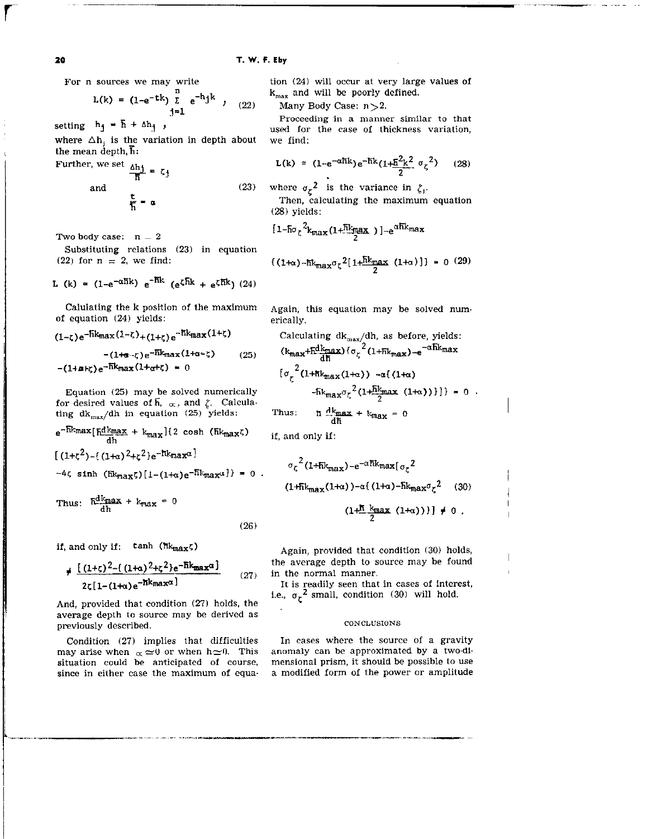$$
L(k) = (1 - e^{-tk}) \sum_{j=1}^{n} e^{-h} j^{k} , (22)
$$

setting  $h_1 = \overline{h} + \Delta h_1$ ,

where  $\Delta h_i$  is the variation in depth about we find: the mean depth,  $\overline{h}$ :

Further, we set 
$$
\frac{\Delta h j}{h} = \zeta_j
$$
  
and  $\frac{t}{h} = \alpha$  (23)

Two body case:  $n = 2$ 

Substituting relations (23) in equation

L (k) = 
$$
(1-e^{-\alpha\hbar k})e^{-\hbar k} (e^{\zeta \hbar k} + e^{\zeta \hbar k})
$$
 (24)

Calulating the k position of the maximum of equation (24) yields:

$$
(1-\zeta)e^{-\tilde{h}k_{\max}(1-\zeta)}+(1+\zeta)e^{-\tilde{h}k_{\max}(1+\zeta)}
$$

$$
-(1+\alpha-\zeta)e^{-\tilde{h}k_{\max}(1+\alpha-\zeta)}
$$
(25)
$$
-(1+\alpha+\zeta)e^{-\tilde{h}k_{\max}(1+\alpha+\zeta)}=0
$$

Equation (25) may be solved numerically for desired values of  $\overline{h}$ ,  $\alpha$ , and  $\zeta$ . Calculating  $dk_{max}/dh$  in equation (25) yields:

$$
e^{-\frac{Rk_{\max}}{\frac{d k_{\max}}{d} + k_{\max}}(2 \cosh (\frac{Rk_{\max}}{d})}
$$

$$
[(1+\zeta^2)-\{(1+\alpha)^2+\zeta^2\}e^{-\frac{Rk_{\max}}{d}]\}
$$

$$
-4\zeta \sinh (\overline{\text{h}}k_{\text{max}}\zeta)[1-(1+\alpha)e^{-\overline{\text{h}}k_{\text{max}}\alpha}]\} = 0.
$$

Thus:  $\frac{Rdk_{\text{max}}}{dh} + k_{\text{max}} = 0$ 

(26)

if, and only if:  $\tanh$   $(\hbar k_{max}\zeta)$ 

$$
\neq \frac{[(1+\zeta)^2 - \{(1+\alpha)^2 + \zeta^2\}e^{-\hbar k_{\text{max}}\alpha}]}{2\zeta[1 - (1+\alpha)e^{-\hbar k_{\text{max}}\alpha}]}
$$
(27)

And, provided that condition (27) holds. the average depth to source may be derived as previously described.

Condition (27) implies that difficulties may arise when  $\alpha \approx 0$  or when  $h \approx 0$ . This situation could be anticipated of course, since in either case the maximum of equa-

For n sources we may write tion (24) will occur at very large values of  $k_{max}$  and will be poorly defined.

Many Body Case:  $n>2$ .

Proceeding in a manner similar to that used for the case of thickness variation,

$$
L(k) \approx (1 - e^{-\alpha \hbar k}) e^{-\hbar k} (1 + \frac{\hbar^2 k^2}{2} \sigma_{\zeta}^2)
$$
 (28)

where  $\sigma_{\zeta}^2$  is the variance in  $\zeta_i$ .

Then, calculating the maximum equation (28) yields:

$$
[1-\frac{5\sigma}{2}k_{\max}(1+\frac{5k_{\max}}{2})]-e^{\alpha 5k_{\max}}
$$

(22) for n = 2, we find:  $\{(1+\alpha) - \hbar k_{\max}\sigma_{\zeta}^2[1+\frac{\hbar k_{\max}}{2} (1+\alpha)]\} = 0$  (29)

Again, this equation may be solved numerically.

Calculating 
$$
dk_{max}/dh
$$
, as before, yields:  
\n $(k_{max} + \frac{dk_{max}}{dh})(\sigma_{\zeta}^{2}(1 + \frac{dk_{max}}{h}) - e^{-\alpha \frac{dk_{max}}{h}})$   
\n $[\sigma_{\zeta}^{2}(1 + \frac{dk_{max}}{1 + \alpha})) - \alpha \frac{((1 + \alpha))}{2}] = 0$ .  
\nThus:  $\hbar \frac{dk_{max}}{dh} + k_{max} = 0$ 

if, and only if:

$$
\sigma_{\zeta}^{2} (1 + \hbar k_{\text{max}}) - e^{-\alpha \hbar k_{\text{max}} \left[ \sigma_{\zeta}^{2} \right]}
$$
  
(1 + \hbar k\_{\text{max}} (1 + \alpha)) - \alpha \left( (1 + \alpha) - \hbar k\_{\text{max}} \sigma\_{\zeta}^{2} \right] (30)  
(1 + \frac{\hbar k\_{\text{max}} (1 + \alpha)}{2} ) \left[ \phi \right] \neq 0.

I

Again, provided that condition (30) holds, the average depth to source may be found in the normal manner.

It is readily seen that in cases of interest, i.e.,  $\sigma_z^2$  small, condition (30) will hold.

### CONCLUSIONS

In cases where the source of a gravity anomaly can be approximated by a two-dimensional prism, it should be possible to use a modified form of the power or amplitude